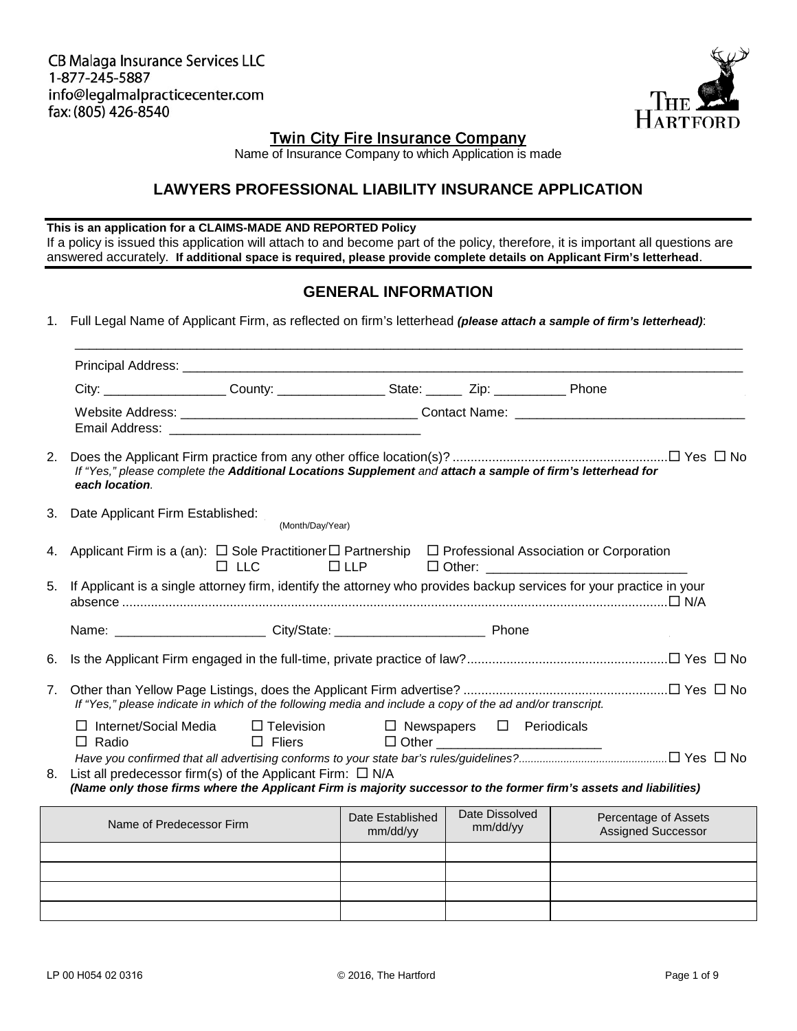CB Malaga Insurance Services LLC 1-877-245-5887 info@legalmalpracticecenter.com fax: (805) 426-8540



## Twin City Fire Insurance Company

Name of Insurance Company to which Application is made

## **LAWYERS PROFESSIONAL LIABILITY INSURANCE APPLICATION**

#### **This is an application for a CLAIMS-MADE AND REPORTED Policy**

If a policy is issued this application will attach to and become part of the policy, therefore, it is important all questions are answered accurately. **If additional space is required, please provide complete details on Applicant Firm's letterhead**.

### **GENERAL INFORMATION**

1. Full Legal Name of Applicant Firm, as reflected on firm's letterhead *(please attach a sample of firm's letterhead)*:

|                |                                                                                                                      | City: _____________________County: ______________________State: _________ Zip: ________________ Phone                                                                                |                                                        |                                        |                                                   |
|----------------|----------------------------------------------------------------------------------------------------------------------|--------------------------------------------------------------------------------------------------------------------------------------------------------------------------------------|--------------------------------------------------------|----------------------------------------|---------------------------------------------------|
|                |                                                                                                                      |                                                                                                                                                                                      |                                                        |                                        |                                                   |
| 2.             | each location.                                                                                                       | If "Yes," please complete the Additional Locations Supplement and attach a sample of firm's letterhead for                                                                           |                                                        |                                        |                                                   |
| 3.             | Date Applicant Firm Established:                                                                                     | (Month/Day/Year)                                                                                                                                                                     |                                                        |                                        |                                                   |
| 4.             | Applicant Firm is a (an): $\Box$ Sole Practitioner $\Box$ Partnership $\Box$ Professional Association or Corporation | $\Box$ LLC                                                                                                                                                                           | $\Box$ LLP                                             |                                        |                                                   |
| 5.             | If Applicant is a single attorney firm, identify the attorney who provides backup services for your practice in your |                                                                                                                                                                                      |                                                        |                                        |                                                   |
|                |                                                                                                                      |                                                                                                                                                                                      |                                                        |                                        |                                                   |
| 6.             |                                                                                                                      |                                                                                                                                                                                      |                                                        |                                        |                                                   |
| 7 <sub>1</sub> |                                                                                                                      | If "Yes," please indicate in which of the following media and include a copy of the ad and/or transcript.                                                                            |                                                        |                                        |                                                   |
|                | $\Box$ Internet/Social Media<br>$\Box$ Radio                                                                         | $\Box$ Fliers                                                                                                                                                                        | $\Box$ Television $\Box$ Newspapers $\Box$ Periodicals | □ Other ______________________________ |                                                   |
| 8.             |                                                                                                                      | List all predecessor firm(s) of the Applicant Firm: $\Box$ N/A<br>(Name only those firms where the Applicant Firm is majority successor to the former firm's assets and liabilities) |                                                        |                                        |                                                   |
|                |                                                                                                                      |                                                                                                                                                                                      |                                                        |                                        |                                                   |
|                | Name of Predecessor Firm                                                                                             |                                                                                                                                                                                      | Date Established<br>mm/dd/yy                           | Date Dissolved<br>mm/dd/vy             | Percentage of Assets<br><b>Assigned Successor</b> |

/ / / / / / / /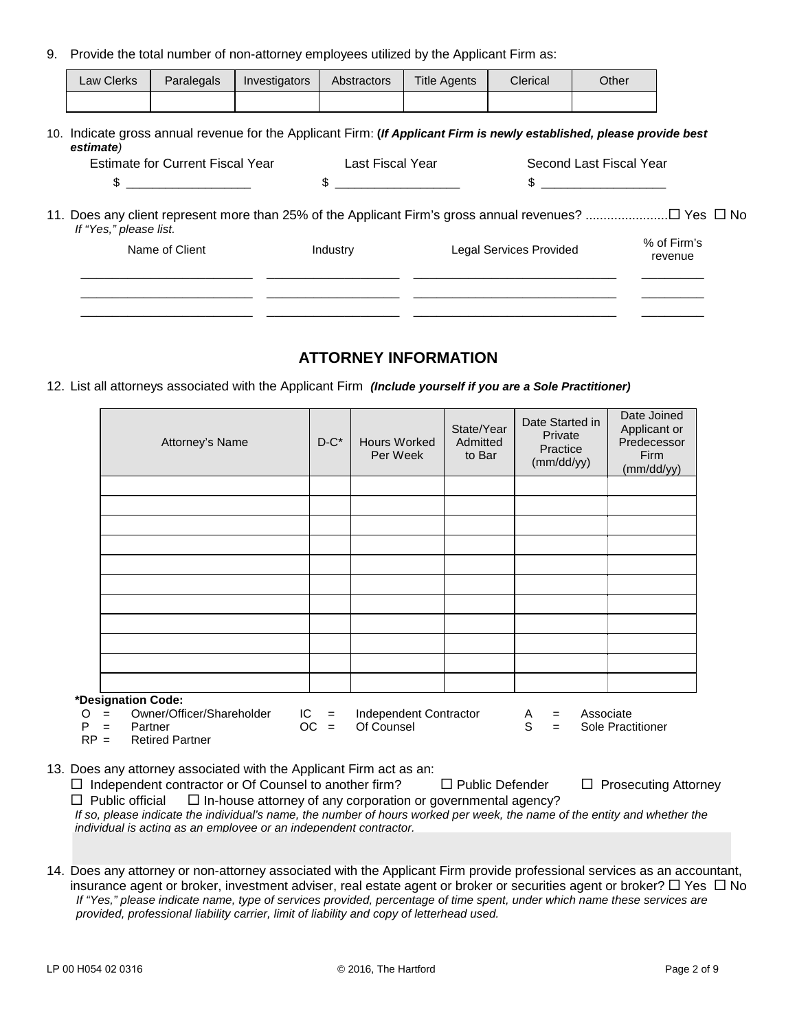9. Provide the total number of non-attorney employees utilized by the Applicant Firm as:

| <b>Law Clerks</b> | Paralegals | Investigators | Abstractors | <b>Title Agents</b> | Clerical | Other |
|-------------------|------------|---------------|-------------|---------------------|----------|-------|
|                   |            |               |             |                     |          |       |

10. Indicate gross annual revenue for the Applicant Firm: **(***If Applicant Firm is newly established, please provide best estimate)*

| Estimate for Current Fiscal Year                                                                                                |          | Last Fiscal Year<br>Second Last Fiscal Year |                        |  |
|---------------------------------------------------------------------------------------------------------------------------------|----------|---------------------------------------------|------------------------|--|
| $\mathbb{S}$                                                                                                                    |          | $\mathbb{S}$                                |                        |  |
| 11. Does any client represent more than 25% of the Applicant Firm's gross annual revenues? □ Yes □ No<br>If "Yes," please list. |          |                                             |                        |  |
| Name of Client                                                                                                                  | Industry | Legal Services Provided                     | % of Firm's<br>revenue |  |
|                                                                                                                                 |          |                                             |                        |  |
|                                                                                                                                 |          |                                             |                        |  |

### **ATTORNEY INFORMATION**

12. List all attorneys associated with the Applicant Firm *(Include yourself if you are a Sole Practitioner)*

|        | Attorney's Name                                                                                                                                                                                                                                                                       | $D-C^*$          | <b>Hours Worked</b><br>Per Week      | State/Year<br>Admitted<br>to Bar | Date Started in<br>Private<br>Practice<br>(mm/dd/vv) | Date Joined<br>Applicant or<br>Predecessor<br>Firm<br>(mm/dd/yy) |
|--------|---------------------------------------------------------------------------------------------------------------------------------------------------------------------------------------------------------------------------------------------------------------------------------------|------------------|--------------------------------------|----------------------------------|------------------------------------------------------|------------------------------------------------------------------|
|        |                                                                                                                                                                                                                                                                                       |                  |                                      |                                  |                                                      |                                                                  |
|        |                                                                                                                                                                                                                                                                                       |                  |                                      |                                  |                                                      |                                                                  |
|        |                                                                                                                                                                                                                                                                                       |                  |                                      |                                  |                                                      |                                                                  |
|        |                                                                                                                                                                                                                                                                                       |                  |                                      |                                  |                                                      |                                                                  |
|        |                                                                                                                                                                                                                                                                                       |                  |                                      |                                  |                                                      |                                                                  |
|        |                                                                                                                                                                                                                                                                                       |                  |                                      |                                  |                                                      |                                                                  |
|        |                                                                                                                                                                                                                                                                                       |                  |                                      |                                  |                                                      |                                                                  |
|        |                                                                                                                                                                                                                                                                                       |                  |                                      |                                  |                                                      |                                                                  |
|        |                                                                                                                                                                                                                                                                                       |                  |                                      |                                  |                                                      |                                                                  |
|        | *Designation Code:                                                                                                                                                                                                                                                                    |                  |                                      |                                  |                                                      |                                                                  |
| P      | = Owner/Officer/Shareholder<br>O<br>$=$ Partner<br>$RP =$<br><b>Retired Partner</b>                                                                                                                                                                                                   | $IC =$<br>$OC =$ | Independent Contractor<br>Of Counsel |                                  | Associate<br>A<br>$=$<br>S<br>$=$                    | Sole Practitioner                                                |
|        | 13. Does any attorney associated with the Applicant Firm act as an:<br>$\Box$ Independent contractor or Of Counsel to another firm?                                                                                                                                                   |                  |                                      | □ Public Defender                |                                                      | $\Box$ Prosecuting Attorney                                      |
| $\Box$ | Public official $\Box$ In-house attorney of any corporation or governmental agency?<br>If so, please indicate the individual's name, the number of hours worked per week, the name of the entity and whether the<br>individual is acting as an employee or an independent contractor. |                  |                                      |                                  |                                                      |                                                                  |
|        |                                                                                                                                                                                                                                                                                       |                  | state directly than Americanst Fig.  |                                  | متما المتماد والمتملك ومستوا والمارودة               |                                                                  |

14. Does any attorney or non-attorney associated with the Applicant Firm provide professional services as an accountant, insurance agent or broker, investment adviser, real estate agent or broker or securities agent or broker?  $\Box$  Yes  $\Box$  No *If "Yes," please indicate name, type of services provided, percentage of time spent, under which name these services are provided, professional liability carrier, limit of liability and copy of letterhead used.*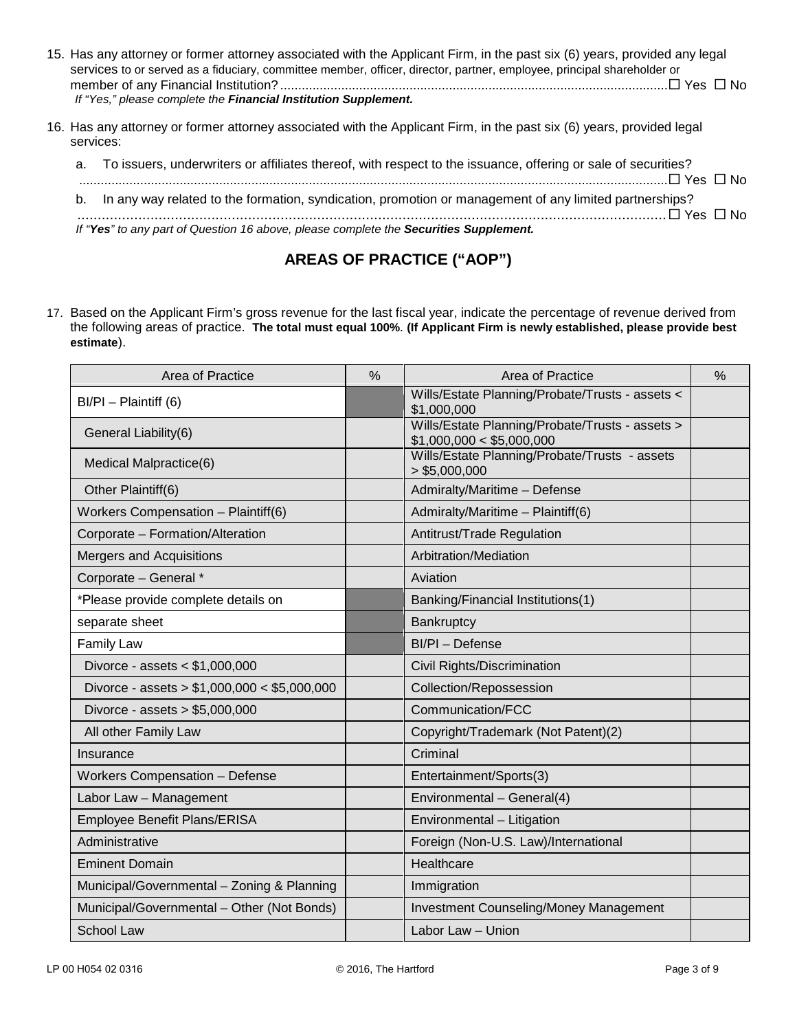| 15. Has any attorney or former attorney associated with the Applicant Firm, in the past six (6) years, provided any legal<br>services to or served as a fiduciary, committee member, officer, director, partner, employee, principal shareholder or<br>If "Yes," please complete the Financial Institution Supplement. |
|------------------------------------------------------------------------------------------------------------------------------------------------------------------------------------------------------------------------------------------------------------------------------------------------------------------------|
| 16. Has any attorney or former attorney associated with the Applicant Firm, in the past six (6) years, provided legal<br>services:                                                                                                                                                                                     |

| a. To issuers, underwriters or affiliates thereof, with respect to the issuance, offering or sale of securities? |
|------------------------------------------------------------------------------------------------------------------|
|                                                                                                                  |
| b. In any way related to the formation, syndication, promotion or management of any limited partnerships?        |
|                                                                                                                  |
| If "Yes" to any part of Question 16 above, please complete the Securities Supplement.                            |

# **AREAS OF PRACTICE ("AOP")**

17. Based on the Applicant Firm's gross revenue for the last fiscal year, indicate the percentage of revenue derived from the following areas of practice. **The total must equal 100%**. **(If Applicant Firm is newly established, please provide best estimate**).

| Area of Practice                             | $\frac{0}{0}$ | Area of Practice                                                             | $\frac{0}{0}$ |
|----------------------------------------------|---------------|------------------------------------------------------------------------------|---------------|
| $BI/PI - Plaintiff(6)$                       |               | Wills/Estate Planning/Probate/Trusts - assets <<br>\$1,000,000               |               |
| General Liability(6)                         |               | Wills/Estate Planning/Probate/Trusts - assets ><br>\$1,000,000 < \$5,000,000 |               |
| Medical Malpractice(6)                       |               | Wills/Estate Planning/Probate/Trusts - assets<br>> \$5,000,000               |               |
| Other Plaintiff(6)                           |               | Admiralty/Maritime - Defense                                                 |               |
| Workers Compensation - Plaintiff(6)          |               | Admiralty/Maritime - Plaintiff(6)                                            |               |
| Corporate - Formation/Alteration             |               | Antitrust/Trade Regulation                                                   |               |
| Mergers and Acquisitions                     |               | Arbitration/Mediation                                                        |               |
| Corporate - General *                        |               | Aviation                                                                     |               |
| *Please provide complete details on          |               | Banking/Financial Institutions(1)                                            |               |
| separate sheet                               |               | Bankruptcy                                                                   |               |
| <b>Family Law</b>                            |               | BI/PI - Defense                                                              |               |
| Divorce - assets < \$1,000,000               |               | Civil Rights/Discrimination                                                  |               |
| Divorce - assets > $$1,000,000 < $5,000,000$ |               | Collection/Repossession                                                      |               |
| Divorce - assets > \$5,000,000               |               | Communication/FCC                                                            |               |
| All other Family Law                         |               | Copyright/Trademark (Not Patent)(2)                                          |               |
| Insurance                                    |               | Criminal                                                                     |               |
| <b>Workers Compensation - Defense</b>        |               | Entertainment/Sports(3)                                                      |               |
| Labor Law - Management                       |               | Environmental - General(4)                                                   |               |
| Employee Benefit Plans/ERISA                 |               | Environmental - Litigation                                                   |               |
| Administrative                               |               | Foreign (Non-U.S. Law)/International                                         |               |
| <b>Eminent Domain</b>                        |               | Healthcare                                                                   |               |
| Municipal/Governmental - Zoning & Planning   |               | Immigration                                                                  |               |
| Municipal/Governmental - Other (Not Bonds)   |               | Investment Counseling/Money Management                                       |               |
| <b>School Law</b>                            |               | Labor Law - Union                                                            |               |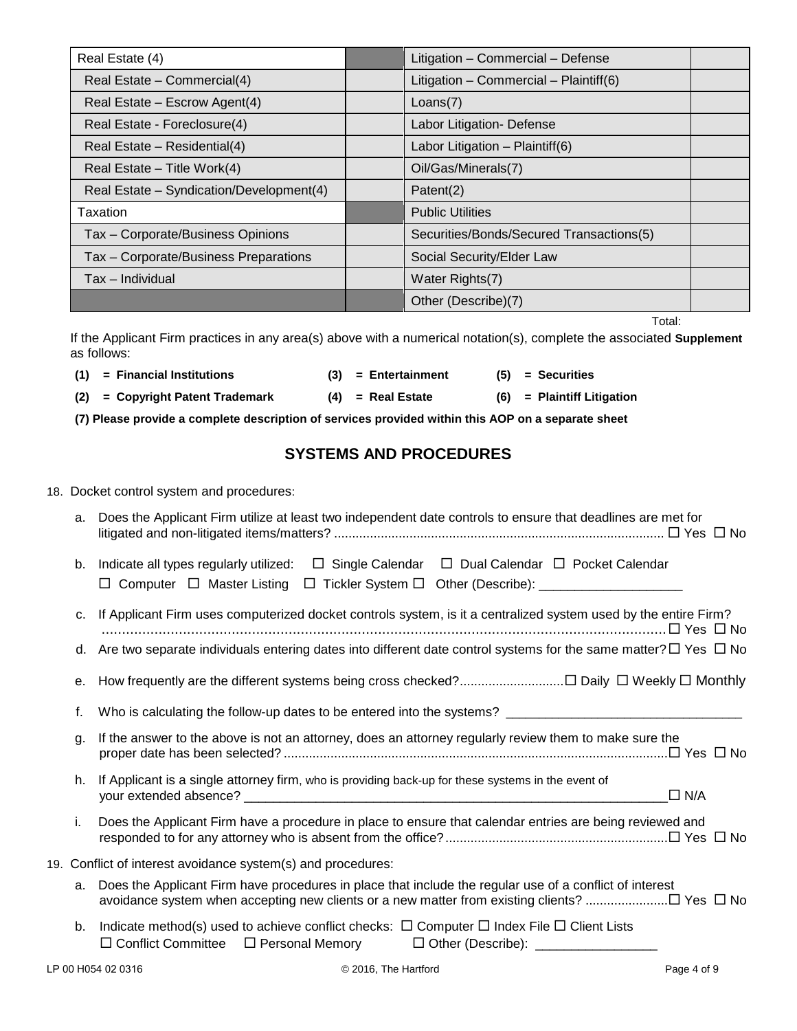| Real Estate (4)                          | Litigation - Commercial - Defense        |  |
|------------------------------------------|------------------------------------------|--|
| Real Estate - Commercial(4)              | Litigation - Commercial - Plaintiff(6)   |  |
| Real Estate - Escrow Agent(4)            | Loans(7)                                 |  |
| Real Estate - Foreclosure(4)             | Labor Litigation- Defense                |  |
| Real Estate – Residential(4)             | Labor Litigation $-$ Plaintiff(6)        |  |
| Real Estate - Title Work(4)              | Oil/Gas/Minerals(7)                      |  |
| Real Estate - Syndication/Development(4) | Patent(2)                                |  |
| Taxation                                 | <b>Public Utilities</b>                  |  |
| Tax - Corporate/Business Opinions        | Securities/Bonds/Secured Transactions(5) |  |
| Tax - Corporate/Business Preparations    | Social Security/Elder Law                |  |
| Tax – Individual                         | Water Rights(7)                          |  |
|                                          | Other (Describe)(7)                      |  |

Total:

If the Applicant Firm practices in any area(s) above with a numerical notation(s), complete the associated **Supplement** as follows:

| $(1)$ = Financial Institutions     | $(3)$ = Entertainment | $(5) =$ Securities           |
|------------------------------------|-----------------------|------------------------------|
| $(2)$ = Copyright Patent Trademark | $(4)$ = Real Estate   | $(6)$ = Plaintiff Litigation |

**(7) Please provide a complete description of services provided within this AOP on a separate sheet**

# **SYSTEMS AND PROCEDURES**

#### 18. Docket control system and procedures:

| a. | Does the Applicant Firm utilize at least two independent date controls to ensure that deadlines are met for                                                                                      |
|----|--------------------------------------------------------------------------------------------------------------------------------------------------------------------------------------------------|
| b. | $\Box$ Single Calendar $\Box$ Dual Calendar $\Box$ Pocket Calendar<br>Indicate all types regularly utilized:<br>□ Computer □ Master Listing □ Tickler System □ Other (Describe): _______________ |
| c. | If Applicant Firm uses computerized docket controls system, is it a centralized system used by the entire Firm?                                                                                  |
|    | d. Are two separate individuals entering dates into different date control systems for the same matter? $\Box$ Yes $\Box$ No                                                                     |
| е. |                                                                                                                                                                                                  |
| f. |                                                                                                                                                                                                  |
| g. | If the answer to the above is not an attorney, does an attorney regularly review them to make sure the                                                                                           |
| h. | If Applicant is a single attorney firm, who is providing back-up for these systems in the event of<br>$\Box$ N/A                                                                                 |
| i. | Does the Applicant Firm have a procedure in place to ensure that calendar entries are being reviewed and                                                                                         |
|    | 19. Conflict of interest avoidance system(s) and procedures:                                                                                                                                     |
| a. | Does the Applicant Firm have procedures in place that include the regular use of a conflict of interest                                                                                          |
| b. | Indicate method(s) used to achieve conflict checks: $\Box$ Computer $\Box$ Index File $\Box$ Client Lists<br>□ Conflict Committee □ Personal Memory □ Other (Describe): ________________         |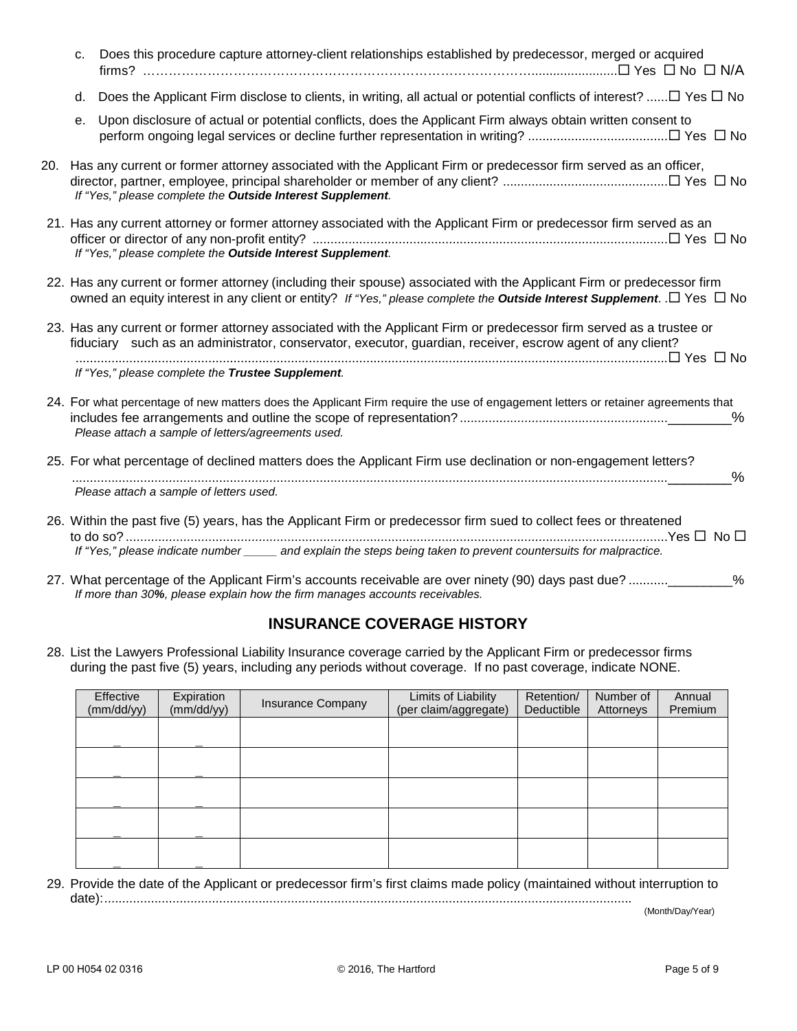| c. | Does this procedure capture attorney-client relationships established by predecessor, merged or acquired                                                                                                                                           |
|----|----------------------------------------------------------------------------------------------------------------------------------------------------------------------------------------------------------------------------------------------------|
| d. | Does the Applicant Firm disclose to clients, in writing, all actual or potential conflicts of interest? $\Box$ Yes $\Box$ No                                                                                                                       |
| е. | Upon disclosure of actual or potential conflicts, does the Applicant Firm always obtain written consent to                                                                                                                                         |
|    | 20. Has any current or former attorney associated with the Applicant Firm or predecessor firm served as an officer,<br>If "Yes," please complete the Outside Interest Supplement.                                                                  |
|    | 21. Has any current attorney or former attorney associated with the Applicant Firm or predecessor firm served as an<br>If "Yes," please complete the Outside Interest Supplement.                                                                  |
|    | 22. Has any current or former attorney (including their spouse) associated with the Applicant Firm or predecessor firm<br>owned an equity interest in any client or entity? If "Yes," please complete the Outside Interest Supplement. .□ Yes □ No |
|    | 23. Has any current or former attorney associated with the Applicant Firm or predecessor firm served as a trustee or<br>fiduciary such as an administrator, conservator, executor, guardian, receiver, escrow agent of any client?                 |
|    | If "Yes," please complete the Trustee Supplement.                                                                                                                                                                                                  |
|    | 24. For what percentage of new matters does the Applicant Firm require the use of engagement letters or retainer agreements that<br>%<br>Please attach a sample of letters/agreements used.                                                        |
|    | 25. For what percentage of declined matters does the Applicant Firm use declination or non-engagement letters?<br>$\%$<br>Please attach a sample of letters used.                                                                                  |
|    | 26. Within the past five (5) years, has the Applicant Firm or predecessor firm sued to collect fees or threatened<br>If "Yes," please indicate number _____ and explain the steps being taken to prevent countersuits for malpractice.             |
|    | 27. What percentage of the Applicant Firm's accounts receivable are over ninety (90) days past due?<br>$\frac{0}{0}$<br>If more than 30%, please explain how the firm manages accounts receivables.                                                |

# **INSURANCE COVERAGE HISTORY**

28. List the Lawyers Professional Liability Insurance coverage carried by the Applicant Firm or predecessor firms during the past five (5) years, including any periods without coverage. If no past coverage, indicate NONE.

| Effective<br>(mm/dd/yy) | Expiration<br>(mm/dd/yy) | Insurance Company | Limits of Liability<br>(per claim/aggregate) | Retention/<br>Deductible | Number of<br>Attorneys | Annual<br>Premium |
|-------------------------|--------------------------|-------------------|----------------------------------------------|--------------------------|------------------------|-------------------|
|                         |                          |                   |                                              |                          |                        |                   |
|                         |                          |                   |                                              |                          |                        |                   |
|                         |                          |                   |                                              |                          |                        |                   |
|                         |                          |                   |                                              |                          |                        |                   |
|                         |                          |                   |                                              |                          |                        |                   |

29. Provide the date of the Applicant or predecessor firm's first claims made policy (maintained without interruption to date):...................................................................................................................................................\_\_\_\_\_/\_\_\_\_\_/\_\_\_\_\_

(Month/Day/Year)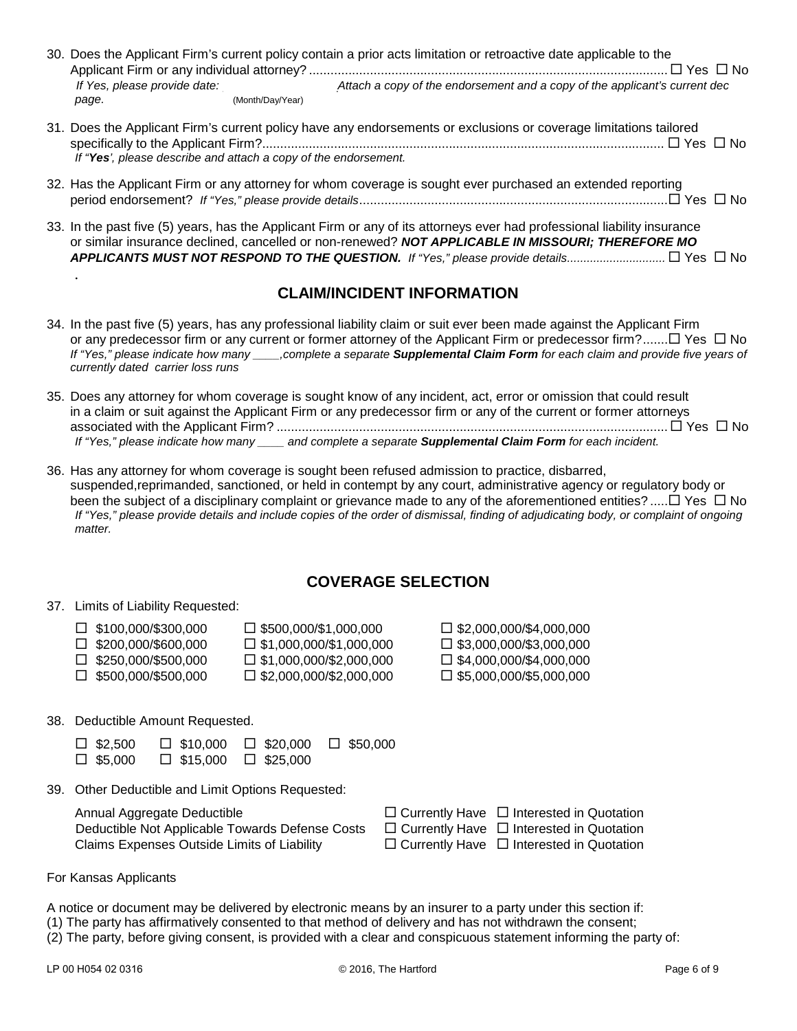| If Yes, please provide date:                                                                                                                                                                                 | 30. Does the Applicant Firm's current policy contain a prior acts limitation or retroactive date applicable to the<br>Attach a copy of the endorsement and a copy of the applicant's current dec |  |
|--------------------------------------------------------------------------------------------------------------------------------------------------------------------------------------------------------------|--------------------------------------------------------------------------------------------------------------------------------------------------------------------------------------------------|--|
| page.                                                                                                                                                                                                        | (Month/Day/Year)                                                                                                                                                                                 |  |
| 31. Does the Applicant Firm's current policy have any endorsements or exclusions or coverage limitations tailored<br>$\Box$ Yes $\Box$ No<br>If "Yes', please describe and attach a copy of the endorsement. |                                                                                                                                                                                                  |  |

- 32. Has the Applicant Firm or any attorney for whom coverage is sought ever purchased an extended reporting period endorsement? *If "Yes," please provide details*...................................................................................... Yes No
- 33. In the past five (5) years, has the Applicant Firm or any of its attorneys ever had professional liability insurance or similar insurance declined, cancelled or non-renewed? *NOT APPLICABLE IN MISSOURI; THEREFORE MO APPLICANTS MUST NOT RESPOND TO THE QUESTION. If "Yes," please provide details..............................* Yes No

## **CLAIM/INCIDENT INFORMATION**

- 34. In the past five (5) years, has any professional liability claim or suit ever been made against the Applicant Firm or any predecessor firm or any current or former attorney of the Applicant Firm or predecessor firm?....... $\Box$  Yes  $\Box$  No *If "Yes," please indicate how many \_\_\_\_,complete a separate Supplemental Claim Form for each claim and provide five years of currently dated carrier loss runs*
- 35. Does any attorney for whom coverage is sought know of any incident, act, error or omission that could result in a claim or suit against the Applicant Firm or any predecessor firm or any of the current or former attorneys associated with the Applicant Firm? ............................................................................................................. Yes No *If "Yes," please indicate how many \_\_\_\_ and complete a separate Supplemental Claim Form for each incident.*
- 36. Has any attorney for whom coverage is sought been refused admission to practice, disbarred, suspended,reprimanded, sanctioned, or held in contempt by any court, administrative agency or regulatory body or been the subject of a disciplinary complaint or grievance made to any of the aforementioned entities? ..... $\Box$  Yes  $\Box$  No *If "Yes," please provide details and include copies of the order of dismissal, finding of adjudicating body, or complaint of ongoing matter.*

## **COVERAGE SELECTION**

37. Limits of Liability Requested:

*.*

| $\Box$ \$100.000/\$300.000 | $\square$ \$500,000/\$1,000,000   | $\square$ \$2,000,000/\$4,000,000 |
|----------------------------|-----------------------------------|-----------------------------------|
| $\Box$ \$200.000/\$600.000 | $\square$ \$1,000,000/\$1,000,000 | $\square$ \$3,000,000/\$3,000,000 |
| $\Box$ \$250,000/\$500,000 | $\square$ \$1,000,000/\$2,000,000 | $\Box$ \$4,000,000/\$4,000,000    |
| $\Box$ \$500.000/\$500.000 | $\Box$ \$2,000,000/\$2,000,000    | $\Box$ \$5,000,000/\$5,000,000    |

38. Deductible Amount Requested.

| $\square$ \$2,500 | $\Box$ \$10,000    | $\Box$ \$20,000 | $\square$ \$50,000 |
|-------------------|--------------------|-----------------|--------------------|
| $\square$ \$5,000 | $\square$ \$15.000 | $\Box$ \$25,000 |                    |

39. Other Deductible and Limit Options Requested:

| Annual Aggregate Deductible                     | $\Box$ Currently Have $\Box$ Interested in Quotation |
|-------------------------------------------------|------------------------------------------------------|
| Deductible Not Applicable Towards Defense Costs | $\Box$ Currently Have $\Box$ Interested in Quotation |
| Claims Expenses Outside Limits of Liability     | $\Box$ Currently Have $\Box$ Interested in Quotation |

| $\Box$ Currently Have $\Box$ Interested in Quotation |
|------------------------------------------------------|
| $\Box$ Currently Have $\Box$ Interested in Quotation |
| $\Box$ Currently Have $\Box$ Interested in Quotation |

For Kansas Applicants

A notice or document may be delivered by electronic means by an insurer to a party under this section if: (1) The party has affirmatively consented to that method of delivery and has not withdrawn the consent; (2) The party, before giving consent, is provided with a clear and conspicuous statement informing the party of: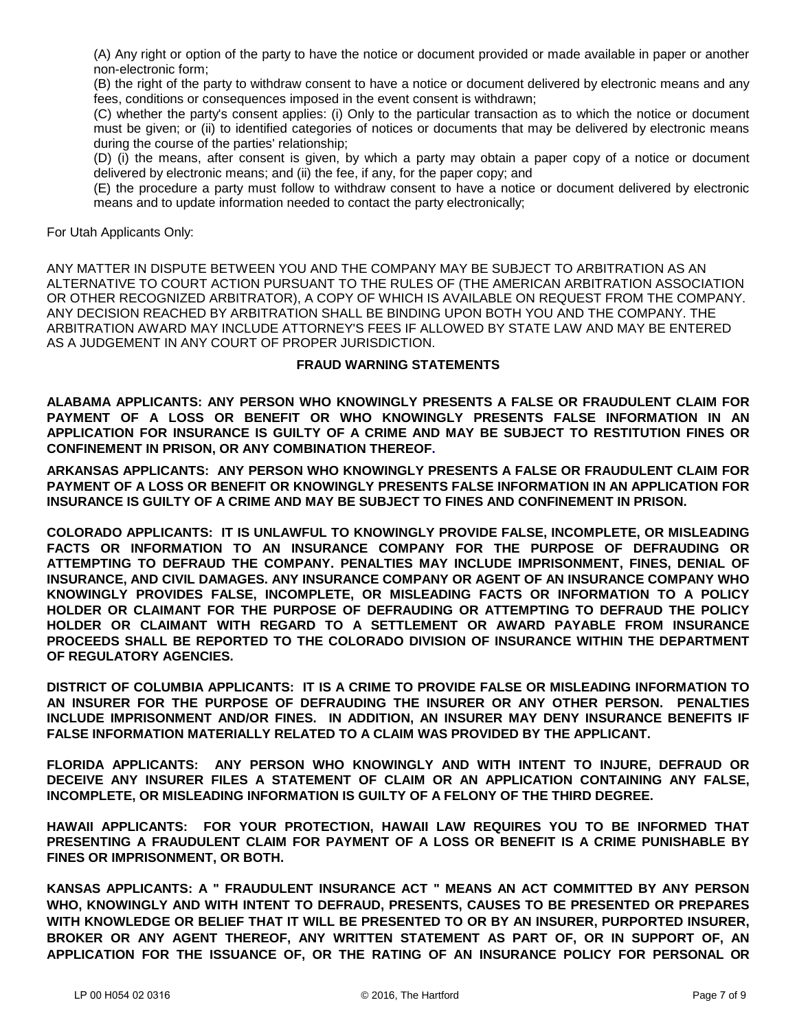(A) Any right or option of the party to have the notice or document provided or made available in paper or another non-electronic form;

(B) the right of the party to withdraw consent to have a notice or document delivered by electronic means and any fees, conditions or consequences imposed in the event consent is withdrawn;

(C) whether the party's consent applies: (i) Only to the particular transaction as to which the notice or document must be given; or (ii) to identified categories of notices or documents that may be delivered by electronic means during the course of the parties' relationship;

(D) (i) the means, after consent is given, by which a party may obtain a paper copy of a notice or document delivered by electronic means; and (ii) the fee, if any, for the paper copy; and

(E) the procedure a party must follow to withdraw consent to have a notice or document delivered by electronic means and to update information needed to contact the party electronically;

For Utah Applicants Only:

ANY MATTER IN DISPUTE BETWEEN YOU AND THE COMPANY MAY BE SUBJECT TO ARBITRATION AS AN ALTERNATIVE TO COURT ACTION PURSUANT TO THE RULES OF (THE AMERICAN ARBITRATION ASSOCIATION OR OTHER RECOGNIZED ARBITRATOR), A COPY OF WHICH IS AVAILABLE ON REQUEST FROM THE COMPANY. ANY DECISION REACHED BY ARBITRATION SHALL BE BINDING UPON BOTH YOU AND THE COMPANY. THE ARBITRATION AWARD MAY INCLUDE ATTORNEY'S FEES IF ALLOWED BY STATE LAW AND MAY BE ENTERED AS A JUDGEMENT IN ANY COURT OF PROPER JURISDICTION.

#### **FRAUD WARNING STATEMENTS**

**ALABAMA APPLICANTS: ANY PERSON WHO KNOWINGLY PRESENTS A FALSE OR FRAUDULENT CLAIM FOR PAYMENT OF A LOSS OR BENEFIT OR WHO KNOWINGLY PRESENTS FALSE INFORMATION IN AN APPLICATION FOR INSURANCE IS GUILTY OF A CRIME AND MAY BE SUBJECT TO RESTITUTION FINES OR CONFINEMENT IN PRISON, OR ANY COMBINATION THEREOF.**

**ARKANSAS APPLICANTS: ANY PERSON WHO KNOWINGLY PRESENTS A FALSE OR FRAUDULENT CLAIM FOR PAYMENT OF A LOSS OR BENEFIT OR KNOWINGLY PRESENTS FALSE INFORMATION IN AN APPLICATION FOR INSURANCE IS GUILTY OF A CRIME AND MAY BE SUBJECT TO FINES AND CONFINEMENT IN PRISON.**

**COLORADO APPLICANTS: IT IS UNLAWFUL TO KNOWINGLY PROVIDE FALSE, INCOMPLETE, OR MISLEADING FACTS OR INFORMATION TO AN INSURANCE COMPANY FOR THE PURPOSE OF DEFRAUDING OR ATTEMPTING TO DEFRAUD THE COMPANY. PENALTIES MAY INCLUDE IMPRISONMENT, FINES, DENIAL OF INSURANCE, AND CIVIL DAMAGES. ANY INSURANCE COMPANY OR AGENT OF AN INSURANCE COMPANY WHO KNOWINGLY PROVIDES FALSE, INCOMPLETE, OR MISLEADING FACTS OR INFORMATION TO A POLICY HOLDER OR CLAIMANT FOR THE PURPOSE OF DEFRAUDING OR ATTEMPTING TO DEFRAUD THE POLICY HOLDER OR CLAIMANT WITH REGARD TO A SETTLEMENT OR AWARD PAYABLE FROM INSURANCE PROCEEDS SHALL BE REPORTED TO THE COLORADO DIVISION OF INSURANCE WITHIN THE DEPARTMENT OF REGULATORY AGENCIES.**

**DISTRICT OF COLUMBIA APPLICANTS: IT IS A CRIME TO PROVIDE FALSE OR MISLEADING INFORMATION TO AN INSURER FOR THE PURPOSE OF DEFRAUDING THE INSURER OR ANY OTHER PERSON. PENALTIES INCLUDE IMPRISONMENT AND/OR FINES. IN ADDITION, AN INSURER MAY DENY INSURANCE BENEFITS IF FALSE INFORMATION MATERIALLY RELATED TO A CLAIM WAS PROVIDED BY THE APPLICANT.**

**FLORIDA APPLICANTS: ANY PERSON WHO KNOWINGLY AND WITH INTENT TO INJURE, DEFRAUD OR DECEIVE ANY INSURER FILES A STATEMENT OF CLAIM OR AN APPLICATION CONTAINING ANY FALSE, INCOMPLETE, OR MISLEADING INFORMATION IS GUILTY OF A FELONY OF THE THIRD DEGREE.** 

**HAWAII APPLICANTS: FOR YOUR PROTECTION, HAWAII LAW REQUIRES YOU TO BE INFORMED THAT PRESENTING A FRAUDULENT CLAIM FOR PAYMENT OF A LOSS OR BENEFIT IS A CRIME PUNISHABLE BY FINES OR IMPRISONMENT, OR BOTH.**

**KANSAS APPLICANTS: A " FRAUDULENT INSURANCE ACT " MEANS AN ACT COMMITTED BY ANY PERSON WHO, KNOWINGLY AND WITH INTENT TO DEFRAUD, PRESENTS, CAUSES TO BE PRESENTED OR PREPARES WITH KNOWLEDGE OR BELIEF THAT IT WILL BE PRESENTED TO OR BY AN INSURER, PURPORTED INSURER, BROKER OR ANY AGENT THEREOF, ANY WRITTEN STATEMENT AS PART OF, OR IN SUPPORT OF, AN APPLICATION FOR THE ISSUANCE OF, OR THE RATING OF AN INSURANCE POLICY FOR PERSONAL OR**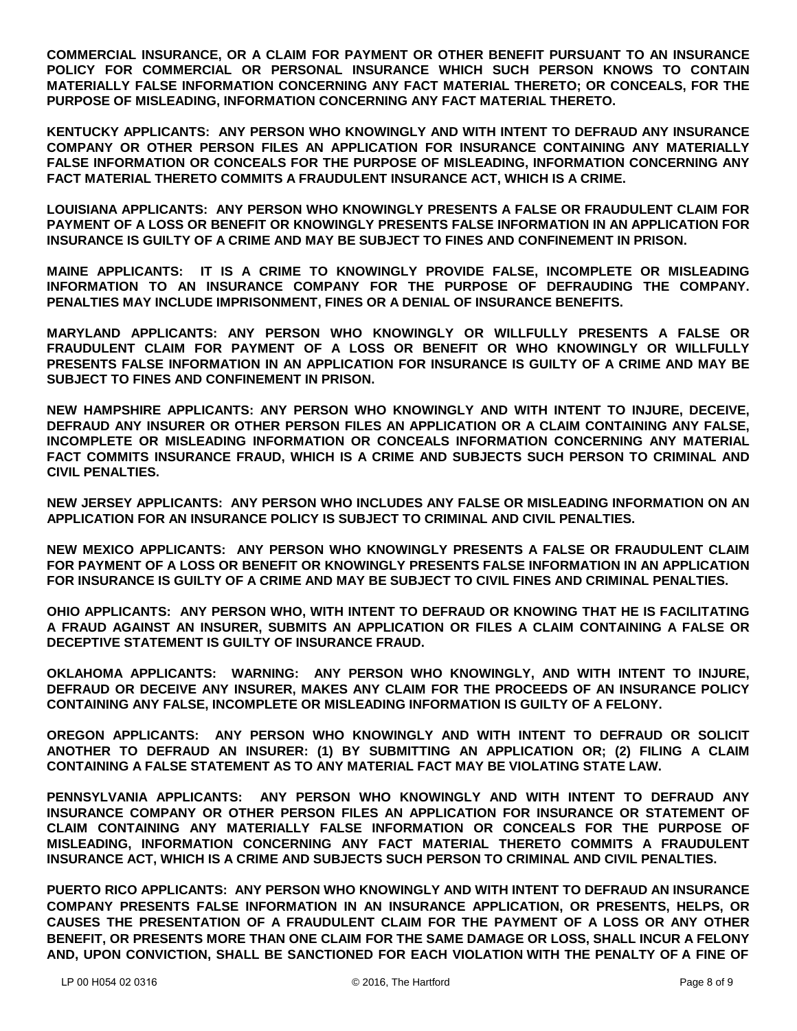**COMMERCIAL INSURANCE, OR A CLAIM FOR PAYMENT OR OTHER BENEFIT PURSUANT TO AN INSURANCE POLICY FOR COMMERCIAL OR PERSONAL INSURANCE WHICH SUCH PERSON KNOWS TO CONTAIN MATERIALLY FALSE INFORMATION CONCERNING ANY FACT MATERIAL THERETO; OR CONCEALS, FOR THE PURPOSE OF MISLEADING, INFORMATION CONCERNING ANY FACT MATERIAL THERETO.**

**KENTUCKY APPLICANTS: ANY PERSON WHO KNOWINGLY AND WITH INTENT TO DEFRAUD ANY INSURANCE COMPANY OR OTHER PERSON FILES AN APPLICATION FOR INSURANCE CONTAINING ANY MATERIALLY FALSE INFORMATION OR CONCEALS FOR THE PURPOSE OF MISLEADING, INFORMATION CONCERNING ANY FACT MATERIAL THERETO COMMITS A FRAUDULENT INSURANCE ACT, WHICH IS A CRIME.**

**LOUISIANA APPLICANTS: ANY PERSON WHO KNOWINGLY PRESENTS A FALSE OR FRAUDULENT CLAIM FOR PAYMENT OF A LOSS OR BENEFIT OR KNOWINGLY PRESENTS FALSE INFORMATION IN AN APPLICATION FOR INSURANCE IS GUILTY OF A CRIME AND MAY BE SUBJECT TO FINES AND CONFINEMENT IN PRISON.**

**MAINE APPLICANTS: IT IS A CRIME TO KNOWINGLY PROVIDE FALSE, INCOMPLETE OR MISLEADING INFORMATION TO AN INSURANCE COMPANY FOR THE PURPOSE OF DEFRAUDING THE COMPANY. PENALTIES MAY INCLUDE IMPRISONMENT, FINES OR A DENIAL OF INSURANCE BENEFITS.**

**MARYLAND APPLICANTS: ANY PERSON WHO KNOWINGLY OR WILLFULLY PRESENTS A FALSE OR FRAUDULENT CLAIM FOR PAYMENT OF A LOSS OR BENEFIT OR WHO KNOWINGLY OR WILLFULLY PRESENTS FALSE INFORMATION IN AN APPLICATION FOR INSURANCE IS GUILTY OF A CRIME AND MAY BE SUBJECT TO FINES AND CONFINEMENT IN PRISON.**

**NEW HAMPSHIRE APPLICANTS: ANY PERSON WHO KNOWINGLY AND WITH INTENT TO INJURE, DECEIVE, DEFRAUD ANY INSURER OR OTHER PERSON FILES AN APPLICATION OR A CLAIM CONTAINING ANY FALSE, INCOMPLETE OR MISLEADING INFORMATION OR CONCEALS INFORMATION CONCERNING ANY MATERIAL FACT COMMITS INSURANCE FRAUD, WHICH IS A CRIME AND SUBJECTS SUCH PERSON TO CRIMINAL AND CIVIL PENALTIES.**

**NEW JERSEY APPLICANTS: ANY PERSON WHO INCLUDES ANY FALSE OR MISLEADING INFORMATION ON AN APPLICATION FOR AN INSURANCE POLICY IS SUBJECT TO CRIMINAL AND CIVIL PENALTIES.**

**NEW MEXICO APPLICANTS: ANY PERSON WHO KNOWINGLY PRESENTS A FALSE OR FRAUDULENT CLAIM FOR PAYMENT OF A LOSS OR BENEFIT OR KNOWINGLY PRESENTS FALSE INFORMATION IN AN APPLICATION FOR INSURANCE IS GUILTY OF A CRIME AND MAY BE SUBJECT TO CIVIL FINES AND CRIMINAL PENALTIES.**

**OHIO APPLICANTS: ANY PERSON WHO, WITH INTENT TO DEFRAUD OR KNOWING THAT HE IS FACILITATING A FRAUD AGAINST AN INSURER, SUBMITS AN APPLICATION OR FILES A CLAIM CONTAINING A FALSE OR DECEPTIVE STATEMENT IS GUILTY OF INSURANCE FRAUD.**

**OKLAHOMA APPLICANTS: WARNING: ANY PERSON WHO KNOWINGLY, AND WITH INTENT TO INJURE, DEFRAUD OR DECEIVE ANY INSURER, MAKES ANY CLAIM FOR THE PROCEEDS OF AN INSURANCE POLICY CONTAINING ANY FALSE, INCOMPLETE OR MISLEADING INFORMATION IS GUILTY OF A FELONY.** 

**OREGON APPLICANTS: ANY PERSON WHO KNOWINGLY AND WITH INTENT TO DEFRAUD OR SOLICIT ANOTHER TO DEFRAUD AN INSURER: (1) BY SUBMITTING AN APPLICATION OR; (2) FILING A CLAIM CONTAINING A FALSE STATEMENT AS TO ANY MATERIAL FACT MAY BE VIOLATING STATE LAW.**

**PENNSYLVANIA APPLICANTS: ANY PERSON WHO KNOWINGLY AND WITH INTENT TO DEFRAUD ANY INSURANCE COMPANY OR OTHER PERSON FILES AN APPLICATION FOR INSURANCE OR STATEMENT OF CLAIM CONTAINING ANY MATERIALLY FALSE INFORMATION OR CONCEALS FOR THE PURPOSE OF MISLEADING, INFORMATION CONCERNING ANY FACT MATERIAL THERETO COMMITS A FRAUDULENT INSURANCE ACT, WHICH IS A CRIME AND SUBJECTS SUCH PERSON TO CRIMINAL AND CIVIL PENALTIES.**

**PUERTO RICO APPLICANTS: ANY PERSON WHO KNOWINGLY AND WITH INTENT TO DEFRAUD AN INSURANCE COMPANY PRESENTS FALSE INFORMATION IN AN INSURANCE APPLICATION, OR PRESENTS, HELPS, OR CAUSES THE PRESENTATION OF A FRAUDULENT CLAIM FOR THE PAYMENT OF A LOSS OR ANY OTHER BENEFIT, OR PRESENTS MORE THAN ONE CLAIM FOR THE SAME DAMAGE OR LOSS, SHALL INCUR A FELONY AND, UPON CONVICTION, SHALL BE SANCTIONED FOR EACH VIOLATION WITH THE PENALTY OF A FINE OF**